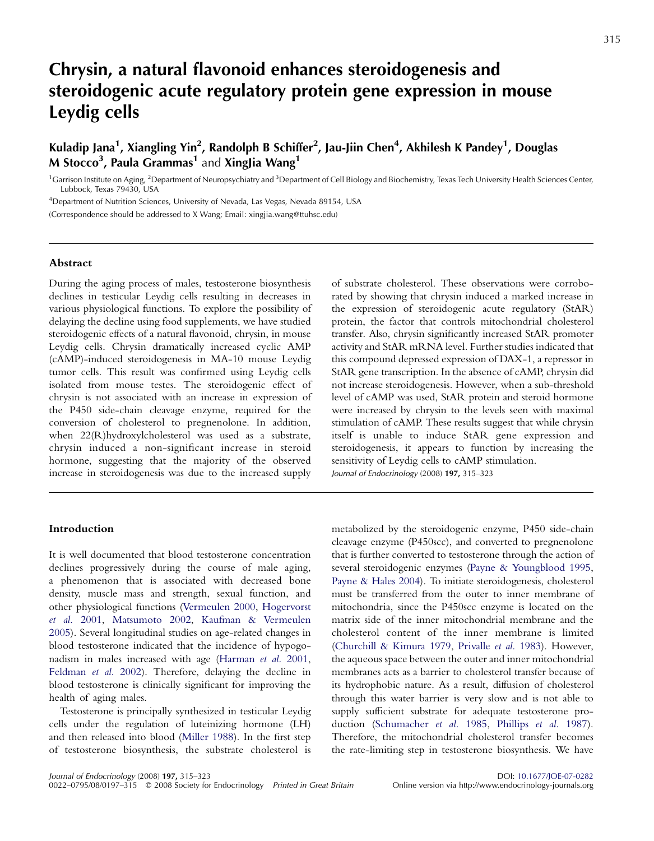# Chrysin, a natural flavonoid enhances steroidogenesis and steroidogenic acute regulatory protein gene expression in mouse Leydig cells

Kuladip Jana<sup>1</sup>, Xiangling Yin<sup>2</sup>, Randolph B Schiffer<sup>2</sup>, Jau-Jiin Chen<sup>4</sup>, Akhilesh K Pandey<sup>1</sup>, Douglas M Stocco<sup>3</sup>, Paula Grammas<sup>1</sup> and XingJia Wang<sup>1</sup>

<sup>1</sup> Garrison Institute on Aging, <sup>2</sup> Department of Neuropsychiatry and <sup>3</sup> Department of Cell Biology and Biochemistry, Texas Tech University Health Sciences Center, Lubbock, Texas 79430, USA

<sup>4</sup>Department of Nutrition Sciences, University of Nevada, Las Vegas, Nevada 89154, USA (Correspondence should be addressed to X Wang; Email: xingjia.wang@ttuhsc.edu)

# Abstract

During the aging process of males, testosterone biosynthesis declines in testicular Leydig cells resulting in decreases in various physiological functions. To explore the possibility of delaying the decline using food supplements, we have studied steroidogenic effects of a natural flavonoid, chrysin, in mouse Leydig cells. Chrysin dramatically increased cyclic AMP (cAMP)-induced steroidogenesis in MA-10 mouse Leydig tumor cells. This result was confirmed using Leydig cells isolated from mouse testes. The steroidogenic effect of chrysin is not associated with an increase in expression of the P450 side-chain cleavage enzyme, required for the conversion of cholesterol to pregnenolone. In addition, when 22(R)hydroxylcholesterol was used as a substrate, chrysin induced a non-significant increase in steroid hormone, suggesting that the majority of the observed increase in steroidogenesis was due to the increased supply

# Introduction

It is well documented that blood testosterone concentration declines progressively during the course of male aging, a phenomenon that is associated with decreased bone density, muscle mass and strength, sexual function, and other physiological functions ([Vermeulen 2000](#page-7-0), [Hogervorst](#page-7-0) et al[. 2001](#page-7-0), [Matsumoto 2002,](#page-7-0) [Kaufman & Vermeulen](#page-7-0) [2005](#page-7-0)). Several longitudinal studies on age-related changes in blood testosterone indicated that the incidence of hypogonadism in males increased with age [\(Harman](#page-7-0) et al. 2001, [Feldman](#page-7-0) et al. 2002). Therefore, delaying the decline in blood testosterone is clinically significant for improving the health of aging males.

Testosterone is principally synthesized in testicular Leydig cells under the regulation of luteinizing hormone (LH) and then released into blood ([Miller 1988\)](#page-7-0). In the first step of testosterone biosynthesis, the substrate cholesterol is of substrate cholesterol. These observations were corroborated by showing that chrysin induced a marked increase in the expression of steroidogenic acute regulatory (StAR) protein, the factor that controls mitochondrial cholesterol transfer. Also, chrysin significantly increased StAR promoter activity and StAR mRNA level. Further studies indicated that this compound depressed expression of DAX-1, a repressor in StAR gene transcription. In the absence of cAMP, chrysin did not increase steroidogenesis. However, when a sub-threshold level of cAMP was used, StAR protein and steroid hormone were increased by chrysin to the levels seen with maximal stimulation of cAMP. These results suggest that while chrysin itself is unable to induce StAR gene expression and steroidogenesis, it appears to function by increasing the sensitivity of Leydig cells to cAMP stimulation.

Journal of Endocrinology (2008) 197, 315–323

metabolized by the steroidogenic enzyme, P450 side-chain cleavage enzyme (P450scc), and converted to pregnenolone that is further converted to testosterone through the action of several steroidogenic enzymes ([Payne & Youngblood 1995](#page-7-0), [Payne & Hales 2004](#page-7-0)). To initiate steroidogenesis, cholesterol must be transferred from the outer to inner membrane of mitochondria, since the P450scc enzyme is located on the matrix side of the inner mitochondrial membrane and the cholesterol content of the inner membrane is limited [\(Churchill & Kimura 1979](#page-7-0), [Privalle](#page-7-0) et al. 1983). However, the aqueous space between the outer and inner mitochondrial membranes acts as a barrier to cholesterol transfer because of its hydrophobic nature. As a result, diffusion of cholesterol through this water barrier is very slow and is not able to supply sufficient substrate for adequate testosterone production [\(Schumacher](#page-7-0) et al. 1985, [Phillips](#page-7-0) et al. 1987). Therefore, the mitochondrial cholesterol transfer becomes the rate-limiting step in testosterone biosynthesis. We have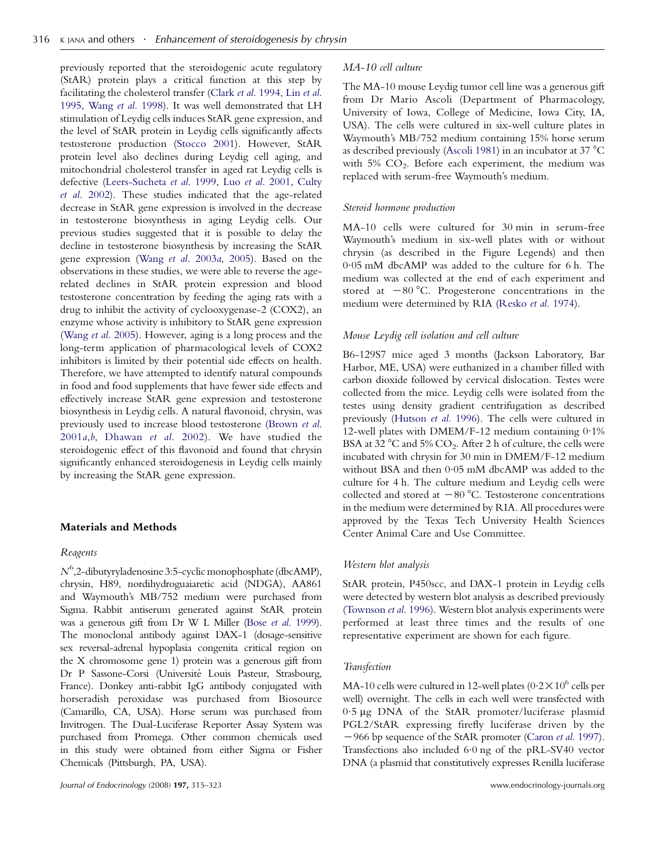previously reported that the steroidogenic acute regulatory (StAR) protein plays a critical function at this step by facilitating the cholesterol transfer (Clark et al[. 1994](#page-7-0), Lin [et al](#page-7-0). [1995,](#page-7-0) Wang et al[. 1998](#page-7-0)). It was well demonstrated that LH stimulation of Leydig cells induces StAR gene expression, and the level of StAR protein in Leydig cells significantly affects testosterone production [\(Stocco 2001\)](#page-7-0). However, StAR protein level also declines during Leydig cell aging, and mitochondrial cholesterol transfer in aged rat Leydig cells is defective ([Leers-Sucheta](#page-7-0) et al. 1999, Luo et al[. 2001](#page-7-0), [Culty](#page-7-0) et al[. 2002](#page-7-0)). These studies indicated that the age-related decrease in StAR gene expression is involved in the decrease in testosterone biosynthesis in aging Leydig cells. Our previous studies suggested that it is possible to delay the decline in testosterone biosynthesis by increasing the StAR gene expression (Wang et al[. 2003](#page-8-0)a, [2005](#page-8-0)). Based on the observations in these studies, we were able to reverse the agerelated declines in StAR protein expression and blood testosterone concentration by feeding the aging rats with a drug to inhibit the activity of cyclooxygenase-2 (COX2), an enzyme whose activity is inhibitory to StAR gene expression (Wang et al[. 2005](#page-8-0)). However, aging is a long process and the long-term application of pharmacological levels of COX2 inhibitors is limited by their potential side effects on health. Therefore, we have attempted to identify natural compounds in food and food supplements that have fewer side effects and effectively increase StAR gene expression and testosterone biosynthesis in Leydig cells. A natural flavonoid, chrysin, was previously used to increase blood testosterone ([Brown](#page-7-0) et al. [2001](#page-7-0)a,[b](#page-7-0), [Dhawan](#page-7-0) et al. 2002). We have studied the steroidogenic effect of this flavonoid and found that chrysin significantly enhanced steroidogenesis in Leydig cells mainly by increasing the StAR gene expression.

## Materials and Methods

#### Reagents

 $N^6$ ,2-dibutyryladenosine 3:5-cyclic monophosphate (dbcAMP), chrysin, H89, nordihydroguaiaretic acid (NDGA), AA861 and Waymouth's MB/752 medium were purchased from Sigma. Rabbit antiserum generated against StAR protein was a generous gift from Dr W L Miller (Bose et al[. 1999](#page-7-0)). The monoclonal antibody against DAX-1 (dosage-sensitive sex reversal-adrenal hypoplasia congenita critical region on the X chromosome gene 1) protein was a generous gift from Dr P Sassone-Corsi (Université Louis Pasteur, Strasbourg, France). Donkey anti-rabbit IgG antibody conjugated with horseradish peroxidase was purchased from Biosource (Camarillo, CA, USA). Horse serum was purchased from Invitrogen. The Dual-Luciferase Reporter Assay System was purchased from Promega. Other common chemicals used in this study were obtained from either Sigma or Fisher Chemicals (Pittsburgh, PA, USA).

#### MA-10 cell culture

The MA-10 mouse Leydig tumor cell line was a generous gift from Dr Mario Ascoli (Department of Pharmacology, University of Iowa, College of Medicine, Iowa City, IA, USA). The cells were cultured in six-well culture plates in Waymouth's MB/752 medium containing 15% horse serum as described previously ([Ascoli 1981\)](#page-7-0) in an incubator at 37 $\mathrm{^{\circ}C}$ with  $5\%$   $CO<sub>2</sub>$ . Before each experiment, the medium was replaced with serum-free Waymouth's medium.

#### Steroid hormone production

MA-10 cells were cultured for 30 min in serum-free Waymouth's medium in six-well plates with or without chrysin (as described in the Figure Legends) and then 0.05 mM dbcAMP was added to the culture for 6 h. The medium was collected at the end of each experiment and stored at  $-80$  °C. Progesterone concentrations in the medium were determined by RIA (Resko et al[. 1974](#page-7-0)).

## Mouse Leydig cell isolation and cell culture

B6-129S7 mice aged 3 months (Jackson Laboratory, Bar Harbor, ME, USA) were euthanized in a chamber filled with carbon dioxide followed by cervical dislocation. Testes were collected from the mice. Leydig cells were isolated from the testes using density gradient centrifugation as described previously ([Hutson](#page-7-0) et al. 1996). The cells were cultured in 12-well plates with DMEM/F-12 medium containing 0.1% BSA at 32  $^{\circ}$ C and 5% CO<sub>2</sub>. After 2 h of culture, the cells were incubated with chrysin for 30 min in DMEM/F-12 medium without BSA and then 0.05 mM dbcAMP was added to the culture for 4 h. The culture medium and Leydig cells were collected and stored at  $-80$  °C. Testosterone concentrations in the medium were determined by RIA. All procedures were approved by the Texas Tech University Health Sciences Center Animal Care and Use Committee.

#### Western blot analysis

StAR protein, P450scc, and DAX-1 protein in Leydig cells were detected by western blot analysis as described previously [\(Townson](#page-7-0) et al. 1996). Western blot analysis experiments were performed at least three times and the results of one representative experiment are shown for each figure.

#### Transfection

MA-10 cells were cultured in 12-well plates  $(0.2 \times 10^6 \text{ cells per}$ well) overnight. The cells in each well were transfected with 0.5 mg DNA of the StAR promoter/luciferase plasmid PGL2/StAR expressing firefly luciferase driven by the -966 bp sequence of the StAR promoter ([Caron](#page-7-0) et al. 1997). Transfections also included 6.0 ng of the pRL-SV40 vector DNA (a plasmid that constitutively expresses Renilla luciferase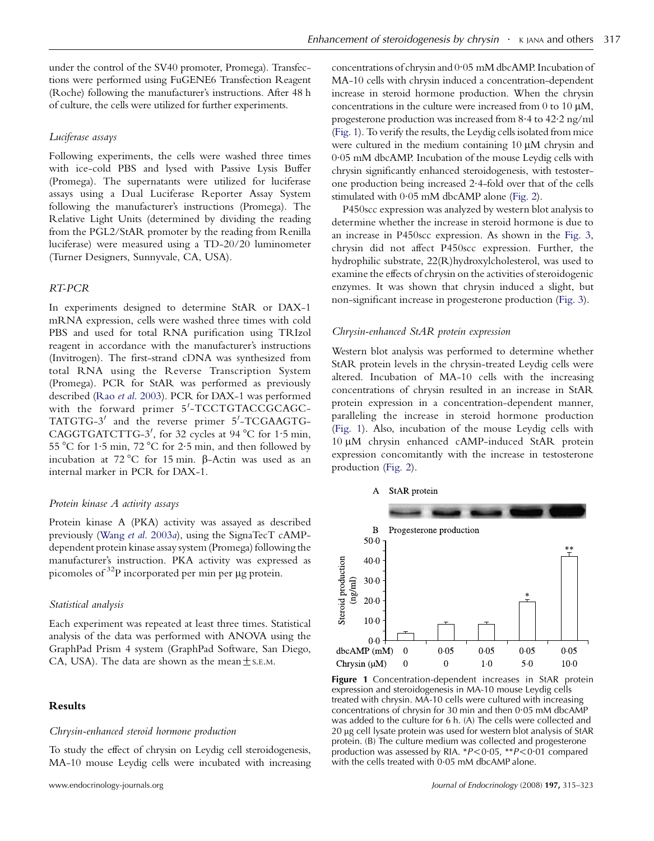under the control of the SV40 promoter, Promega). Transfections were performed using FuGENE6 Transfection Reagent (Roche) following the manufacturer's instructions. After 48 h of culture, the cells were utilized for further experiments.

# Luciferase assays

Following experiments, the cells were washed three times with ice-cold PBS and lysed with Passive Lysis Buffer (Promega). The supernatants were utilized for luciferase assays using a Dual Luciferase Reporter Assay System following the manufacturer's instructions (Promega). The Relative Light Units (determined by dividing the reading from the PGL2/StAR promoter by the reading from Renilla luciferase) were measured using a TD-20/20 luminometer (Turner Designers, Sunnyvale, CA, USA).

#### RT-PCR

In experiments designed to determine StAR or DAX-1 mRNA expression, cells were washed three times with cold PBS and used for total RNA purification using TRIzol reagent in accordance with the manufacturer's instructions (Invitrogen). The first-strand cDNA was synthesized from total RNA using the Reverse Transcription System (Promega). PCR for StAR was performed as previously described (Rao et al[. 2003\)](#page-7-0). PCR for DAX-1 was performed with the forward primer 5'-TCCTGTACCGCAGC-TATGTG-3<sup>'</sup> and the reverse primer 5'-TCGAAGTG-CAGGTGATCTTG-3', for 32 cycles at 94 °C for 1.5 min, 55 °C for 1.5 min, 72 °C for 2.5 min, and then followed by incubation at  $72^{\circ}$ C for 15 min.  $\beta$ -Actin was used as an internal marker in PCR for DAX-1.

## Protein kinase A activity assays

Protein kinase A (PKA) activity was assayed as described previously (Wang et al[. 2003](#page-8-0)a), using the SignaTecT cAMPdependent protein kinase assay system (Promega) following the manufacturer's instruction. PKA activity was expressed as picomoles of  $^{32}P$  incorporated per min per  $\mu$ g protein.

## Statistical analysis

Each experiment was repeated at least three times. Statistical analysis of the data was performed with ANOVA using the GraphPad Prism 4 system (GraphPad Software, San Diego, CA, USA). The data are shown as the mean  $\pm$  s.e.m.

# Results

#### Chrysin-enhanced steroid hormone production

To study the effect of chrysin on Leydig cell steroidogenesis, MA-10 mouse Leydig cells were incubated with increasing concentrations of chrysin and 0.05 mM dbcAMP. Incubation of MA-10 cells with chrysin induced a concentration-dependent increase in steroid hormone production. When the chrysin concentrations in the culture were increased from  $0$  to  $10 \mu M$ , progesterone production was increased from 8.4 to 42.2 ng/ml (Fig. 1). To verify the results, the Leydig cells isolated from mice were cultured in the medium containing  $10 \mu M$  chrysin and 0.05 mM dbcAMP. Incubation of the mouse Leydig cells with chrysin significantly enhanced steroidogenesis, with testosterone production being increased 2.4-fold over that of the cells stimulated with 0.05 mM dbcAMP alone [\(Fig. 2](#page-3-0)).

P450scc expression was analyzed by western blot analysis to determine whether the increase in steroid hormone is due to an increase in P450scc expression. As shown in the [Fig. 3](#page-3-0), chrysin did not affect P450scc expression. Further, the hydrophilic substrate, 22(R)hydroxylcholesterol, was used to examine the effects of chrysin on the activities of steroidogenic enzymes. It was shown that chrysin induced a slight, but non-significant increase in progesterone production ([Fig. 3\)](#page-3-0).

#### Chrysin-enhanced StAR protein expression

Western blot analysis was performed to determine whether StAR protein levels in the chrysin-treated Leydig cells were altered. Incubation of MA-10 cells with the increasing concentrations of chrysin resulted in an increase in StAR protein expression in a concentration-dependent manner, paralleling the increase in steroid hormone production (Fig. 1). Also, incubation of the mouse Leydig cells with 10 mM chrysin enhanced cAMP-induced StAR protein expression concomitantly with the increase in testosterone production ([Fig. 2\)](#page-3-0).



Figure 1 Concentration-dependent increases in StAR protein expression and steroidogenesis in MA-10 mouse Leydig cells treated with chrysin. MA-10 cells were cultured with increasing concentrations of chrysin for 30 min and then 0.05 mM dbcAMP was added to the culture for 6 h. (A) The cells were collected and 20 µg cell lysate protein was used for western blot analysis of StAR protein. (B) The culture medium was collected and progesterone production was assessed by RIA.  $*P < 0.05$ ,  $*P < 0.01$  compared with the cells treated with 0.05 mM dbcAMP alone.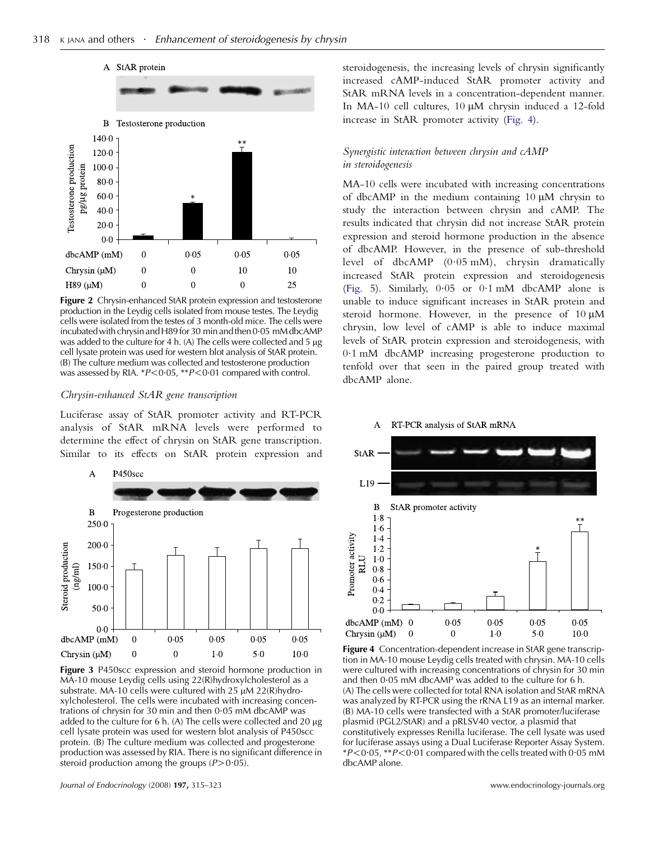<span id="page-3-0"></span>

Figure 2 Chrysin-enhanced StAR protein expression and testosterone production in the Leydig cells isolated from mouse testes. The Leydig cells were isolated from the testes of 3 month-old mice. The cells were incubated with chrysin and H89 for 30 min and then 0.05 mM dbcAMP was added to the culture for 4 h. (A) The cells were collected and 5  $\mu$ g cell lysate protein was used for western blot analysis of StAR protein. (B) The culture medium was collected and testosterone production was assessed by RIA.  $*P<0.05$ ,  $*P<0.01$  compared with control.

## Chrysin-enhanced StAR gene transcription

Luciferase assay of StAR promoter activity and RT-PCR analysis of StAR mRNA levels were performed to determine the effect of chrysin on StAR gene transcription. Similar to its effects on StAR protein expression and



Figure 3 P450scc expression and steroid hormone production in MA-10 mouse Leydig cells using 22(R)hydroxylcholesterol as a substrate. MA-10 cells were cultured with 25  $\mu$ M 22(R)hydroxylcholesterol. The cells were incubated with increasing concentrations of chrysin for 30 min and then  $0.05$  mM dbcAMP was added to the culture for 6 h. (A) The cells were collected and 20  $\mu$ g cell lysate protein was used for western blot analysis of P450scc protein. (B) The culture medium was collected and progesterone production was assessed by RIA. There is no significant difference in steroid production among the groups  $(P>0.05)$ .

steroidogenesis, the increasing levels of chrysin significantly increased cAMP-induced StAR promoter activity and StAR mRNA levels in a concentration-dependent manner. In MA-10 cell cultures,  $10 \mu M$  chrysin induced a 12-fold increase in StAR promoter activity (Fig. 4).

# Synergistic interaction between chrysin and cAMP in steroidogenesis

MA-10 cells were incubated with increasing concentrations of dbcAMP in the medium containing  $10 \mu$ M chrysin to study the interaction between chrysin and cAMP. The results indicated that chrysin did not increase StAR protein expression and steroid hormone production in the absence of dbcAMP. However, in the presence of sub-threshold level of dbcAMP (0.05 mM), chrysin dramatically increased StAR protein expression and steroidogenesis [\(Fig. 5\)](#page-4-0). Similarly,  $0.05$  or  $0.1$  mM dbcAMP alone is unable to induce significant increases in StAR protein and steroid hormone. However, in the presence of  $10 \mu M$ chrysin, low level of cAMP is able to induce maximal levels of StAR protein expression and steroidogenesis, with 0.1 mM dbcAMP increasing progesterone production to tenfold over that seen in the paired group treated with dbcAMP alone.





Figure 4 Concentration-dependent increase in StAR gene transcription in MA-10 mouse Leydig cells treated with chrysin. MA-10 cells were cultured with increasing concentrations of chrysin for 30 min and then  $0.05$  mM dbcAMP was added to the culture for 6 h. (A) The cells were collected for total RNA isolation and StAR mRNA was analyzed by RT-PCR using the rRNA L19 as an internal marker. (B) MA-10 cells were transfected with a StAR promoter/luciferase plasmid (PGL2/StAR) and a pRLSV40 vector, a plasmid that constitutively expresses Renilla luciferase. The cell lysate was used for luciferase assays using a Dual Luciferase Reporter Assay System.  $*P<0.05$ ,  $*P<0.01$  compared with the cells treated with 0.05 mM dbcAMP alone.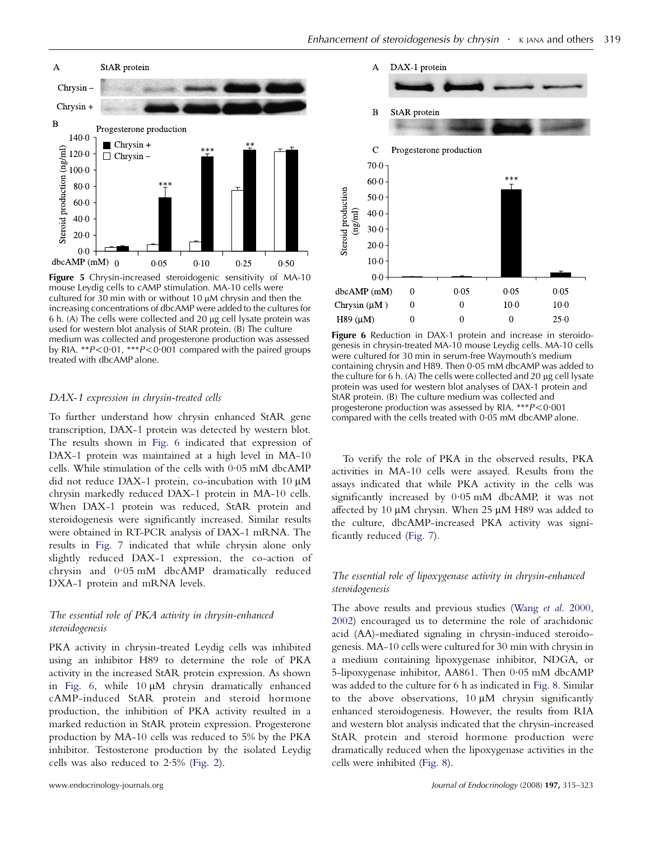<span id="page-4-0"></span>

Figure 5 Chrysin-increased steroidogenic sensitivity of MA-10 mouse Leydig cells to cAMP stimulation. MA-10 cells were cultured for  $30$  min with or without 10  $\mu$ M chrysin and then the increasing concentrations of dbcAMP were added to the cultures for  $6$  h. (A) The cells were collected and  $20 \mu$ g cell lysate protein was used for western blot analysis of StAR protein. (B) The culture medium was collected and progesterone production was assessed by RIA. \*\* $P < 0.01$ , \*\*\* $P < 0.001$  compared with the paired groups treated with dbcAMP alone.

#### DAX-1 expression in chrysin-treated cells

To further understand how chrysin enhanced StAR gene transcription, DAX-1 protein was detected by western blot. The results shown in Fig. 6 indicated that expression of DAX-1 protein was maintained at a high level in MA-10 cells. While stimulation of the cells with 0.05 mM dbcAMP did not reduce DAX-1 protein, co-incubation with 10  $\mu$ M chrysin markedly reduced DAX-1 protein in MA-10 cells. When DAX-1 protein was reduced, StAR protein and steroidogenesis were significantly increased. Similar results were obtained in RT-PCR analysis of DAX-1 mRNA. The results in [Fig. 7](#page-5-0) indicated that while chrysin alone only slightly reduced DAX-1 expression, the co-action of chrysin and 0.05 mM dbcAMP dramatically reduced DXA-1 protein and mRNA levels.

# The essential role of PKA activity in chrysin-enhanced steroidogenesis

PKA activity in chrysin-treated Leydig cells was inhibited using an inhibitor H89 to determine the role of PKA activity in the increased StAR protein expression. As shown in Fig. 6, while  $10 \mu M$  chrysin dramatically enhanced cAMP-induced StAR protein and steroid hormone production, the inhibition of PKA activity resulted in a marked reduction in StAR protein expression. Progesterone production by MA-10 cells was reduced to 5% by the PKA inhibitor. Testosterone production by the isolated Leydig cells was also reduced to 2.5% [\(Fig. 2\)](#page-3-0).



Figure 6 Reduction in DAX-1 protein and increase in steroidogenesis in chrysin-treated MA-10 mouse Leydig cells. MA-10 cells were cultured for 30 min in serum-free Waymouth's medium containing chrysin and H89. Then 0.05 mM dbcAMP was added to the culture for  $6$  h. (A) The cells were collected and  $20 \mu$ g cell lysate protein was used for western blot analyses of DAX-1 protein and StAR protein. (B) The culture medium was collected and progesterone production was assessed by RIA. \*\*\* $P < 0.001$ compared with the cells treated with  $0.05$  mM dbcAMP alone.

To verify the role of PKA in the observed results, PKA activities in MA-10 cells were assayed. Results from the assays indicated that while PKA activity in the cells was significantly increased by 0.05 mM dbcAMP, it was not affected by 10  $\mu$ M chrysin. When 25  $\mu$ M H89 was added to the culture, dbcAMP-increased PKA activity was significantly reduced [\(Fig. 7](#page-5-0)).

# The essential role of lipoxygenase activity in chrysin-enhanced steroidogenesis

The above results and previous studies (Wang et al[. 2000](#page-8-0), [2002](#page-8-0)) encouraged us to determine the role of arachidonic acid (AA)-mediated signaling in chrysin-induced steroidogenesis. MA-10 cells were cultured for 30 min with chrysin in a medium containing lipoxygenase inhibitor, NDGA, or 5-lipoxygenase inhibitor, AA861. Then 0.05 mM dbcAMP was added to the culture for 6 h as indicated in [Fig. 8.](#page-5-0) Similar to the above observations,  $10 \mu M$  chrysin significantly enhanced steroidogenesis. However, the results from RIA and western blot analysis indicated that the chrysin-increased StAR protein and steroid hormone production were dramatically reduced when the lipoxygenase activities in the cells were inhibited [\(Fig. 8\)](#page-5-0).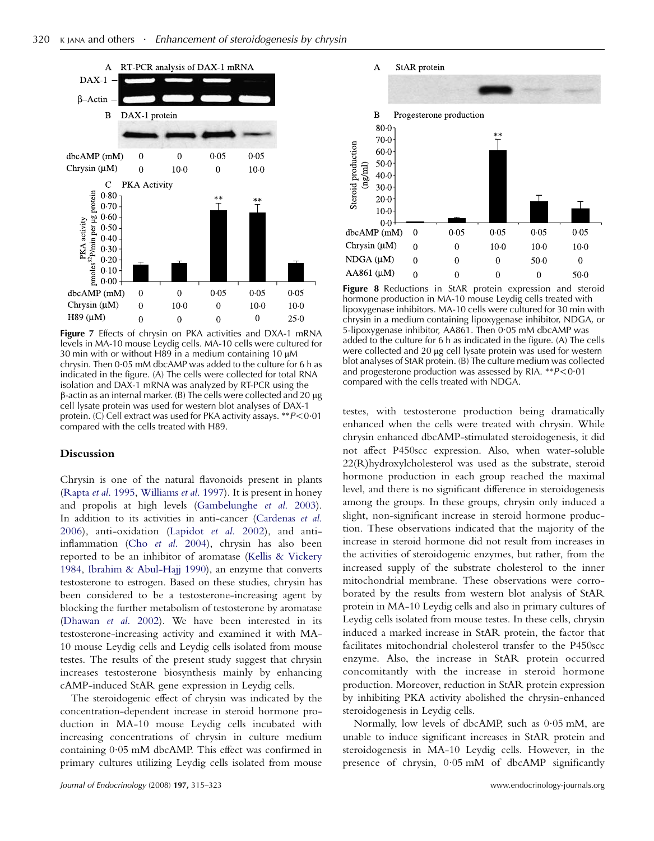<span id="page-5-0"></span>

Figure 7 Effects of chrysin on PKA activities and DXA-1 mRNA levels in MA-10 mouse Leydig cells. MA-10 cells were cultured for 30 min with or without H89 in a medium containing 10  $\mu$ M chrysin. Then 0.05 mM dbcAMP was added to the culture for 6 h as indicated in the figure. (A) The cells were collected for total RNA isolation and DAX-1 mRNA was analyzed by RT-PCR using the  $\beta$ -actin as an internal marker. (B) The cells were collected and 20  $\mu$ g cell lysate protein was used for western blot analyses of DAX-1 protein. (C) Cell extract was used for PKA activity assays.  $*P < 0.01$ compared with the cells treated with H89.

## Discussion

Chrysin is one of the natural flavonoids present in plants (Rapta et al[. 1995](#page-7-0), [Williams](#page-8-0) et al. 1997). It is present in honey and propolis at high levels ([Gambelunghe](#page-7-0) et al. 2003). In addition to its activities in anti-cancer [\(Cardenas](#page-7-0) et al. [2006](#page-7-0)), anti-oxidation [\(Lapidot](#page-7-0) et al. 2002), and antiinflammation (Cho et al[. 2004](#page-7-0)), chrysin has also been reported to be an inhibitor of aromatase [\(Kellis & Vickery](#page-7-0) [1984,](#page-7-0) [Ibrahim & Abul-Hajj 1990\)](#page-7-0), an enzyme that converts testosterone to estrogen. Based on these studies, chrysin has been considered to be a testosterone-increasing agent by blocking the further metabolism of testosterone by aromatase [\(Dhawan](#page-7-0) et al. 2002). We have been interested in its testosterone-increasing activity and examined it with MA-10 mouse Leydig cells and Leydig cells isolated from mouse testes. The results of the present study suggest that chrysin increases testosterone biosynthesis mainly by enhancing cAMP-induced StAR gene expression in Leydig cells.

The steroidogenic effect of chrysin was indicated by the concentration-dependent increase in steroid hormone production in MA-10 mouse Leydig cells incubated with increasing concentrations of chrysin in culture medium containing 0.05 mM dbcAMP. This effect was confirmed in primary cultures utilizing Leydig cells isolated from mouse



Figure 8 Reductions in StAR protein expression and steroid hormone production in MA-10 mouse Leydig cells treated with lipoxygenase inhibitors. MA-10 cells were cultured for 30 min with chrysin in a medium containing lipoxygenase inhibitor, NDGA, or 5-lipoxygenase inhibitor, AA861. Then 0.05 mM dbcAMP was added to the culture for 6 h as indicated in the figure. (A) The cells were collected and 20 µg cell lysate protein was used for western blot analyses of StAR protein. (B) The culture medium was collected and progesterone production was assessed by RIA.  $*P < 0.01$ compared with the cells treated with NDGA.

testes, with testosterone production being dramatically enhanced when the cells were treated with chrysin. While chrysin enhanced dbcAMP-stimulated steroidogenesis, it did not affect P450scc expression. Also, when water-soluble 22(R)hydroxylcholesterol was used as the substrate, steroid hormone production in each group reached the maximal level, and there is no significant difference in steroidogenesis among the groups. In these groups, chrysin only induced a slight, non-significant increase in steroid hormone production. These observations indicated that the majority of the increase in steroid hormone did not result from increases in the activities of steroidogenic enzymes, but rather, from the increased supply of the substrate cholesterol to the inner mitochondrial membrane. These observations were corroborated by the results from western blot analysis of StAR protein in MA-10 Leydig cells and also in primary cultures of Leydig cells isolated from mouse testes. In these cells, chrysin induced a marked increase in StAR protein, the factor that facilitates mitochondrial cholesterol transfer to the P450scc enzyme. Also, the increase in StAR protein occurred concomitantly with the increase in steroid hormone production. Moreover, reduction in StAR protein expression by inhibiting PKA activity abolished the chrysin-enhanced steroidogenesis in Leydig cells.

Normally, low levels of dbcAMP, such as 0.05 mM, are unable to induce significant increases in StAR protein and steroidogenesis in MA-10 Leydig cells. However, in the presence of chrysin, 0.05 mM of dbcAMP significantly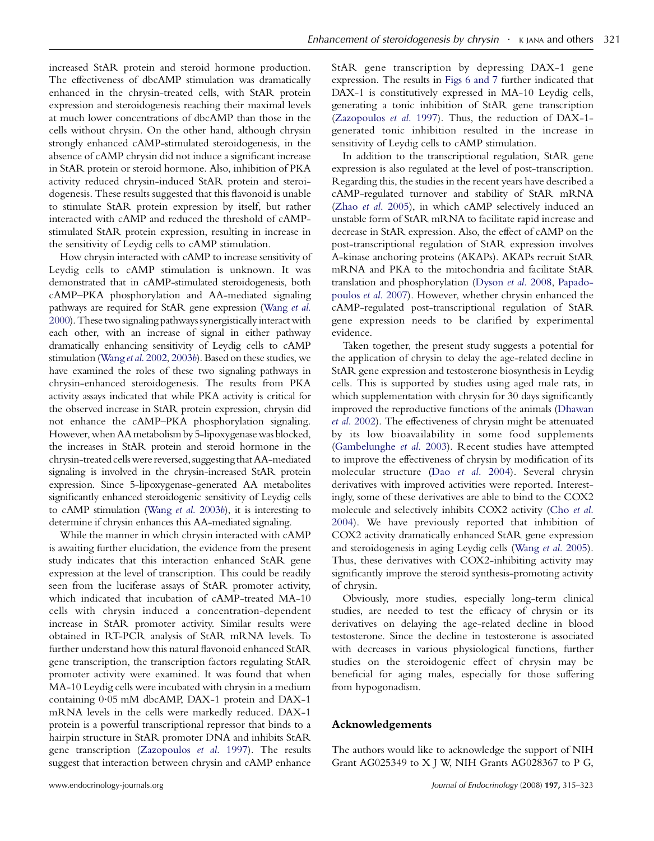increased StAR protein and steroid hormone production. The effectiveness of dbcAMP stimulation was dramatically enhanced in the chrysin-treated cells, with StAR protein expression and steroidogenesis reaching their maximal levels at much lower concentrations of dbcAMP than those in the cells without chrysin. On the other hand, although chrysin strongly enhanced cAMP-stimulated steroidogenesis, in the absence of cAMP chrysin did not induce a significant increase in StAR protein or steroid hormone. Also, inhibition of PKA activity reduced chrysin-induced StAR protein and steroidogenesis. These results suggested that this flavonoid is unable to stimulate StAR protein expression by itself, but rather interacted with cAMP and reduced the threshold of cAMPstimulated StAR protein expression, resulting in increase in the sensitivity of Leydig cells to cAMP stimulation.

How chrysin interacted with cAMP to increase sensitivity of Leydig cells to cAMP stimulation is unknown. It was demonstrated that in cAMP-stimulated steroidogenesis, both cAMP–PKA phosphorylation and AA-mediated signaling pathways are required for StAR gene expression [\(Wang](#page-8-0) et al. [2000\)](#page-8-0). These two signaling pathways synergistically interact with each other, with an increase of signal in either pathway dramatically enhancing sensitivity of Leydig cells to cAMP stimulation (Wang et al[. 2002,](#page-8-0) [2003](#page-8-0)b). Based on these studies, we have examined the roles of these two signaling pathways in chrysin-enhanced steroidogenesis. The results from PKA activity assays indicated that while PKA activity is critical for the observed increase in StAR protein expression, chrysin did not enhance the cAMP–PKA phosphorylation signaling. However, when AA metabolism by 5-lipoxygenase was blocked, the increases in StAR protein and steroid hormone in the chrysin-treated cells were reversed, suggesting that AA-mediated signaling is involved in the chrysin-increased StAR protein expression. Since 5-lipoxygenase-generated AA metabolites significantly enhanced steroidogenic sensitivity of Leydig cells to cAMP stimulation (Wang et al[. 2003](#page-8-0)b), it is interesting to determine if chrysin enhances this AA-mediated signaling.

While the manner in which chrysin interacted with cAMP is awaiting further elucidation, the evidence from the present study indicates that this interaction enhanced StAR gene expression at the level of transcription. This could be readily seen from the luciferase assays of StAR promoter activity, which indicated that incubation of cAMP-treated MA-10 cells with chrysin induced a concentration-dependent increase in StAR promoter activity. Similar results were obtained in RT-PCR analysis of StAR mRNA levels. To further understand how this natural flavonoid enhanced StAR gene transcription, the transcription factors regulating StAR promoter activity were examined. It was found that when MA-10 Leydig cells were incubated with chrysin in a medium containing 0.05 mM dbcAMP, DAX-1 protein and DAX-1 mRNA levels in the cells were markedly reduced. DAX-1 protein is a powerful transcriptional repressor that binds to a hairpin structure in StAR promoter DNA and inhibits StAR gene transcription ([Zazopoulos](#page-8-0) et al. 1997). The results suggest that interaction between chrysin and cAMP enhance

StAR gene transcription by depressing DAX-1 gene expression. The results in [Figs 6 and 7](#page-4-0) further indicated that DAX-1 is constitutively expressed in MA-10 Leydig cells, generating a tonic inhibition of StAR gene transcription [\(Zazopoulos](#page-8-0) et al. 1997). Thus, the reduction of DAX-1 generated tonic inhibition resulted in the increase in sensitivity of Leydig cells to cAMP stimulation.

In addition to the transcriptional regulation, StAR gene expression is also regulated at the level of post-transcription. Regarding this, the studies in the recent years have described a cAMP-regulated turnover and stability of StAR mRNA (Zhao et al[. 2005\)](#page-8-0), in which cAMP selectively induced an unstable form of StAR mRNA to facilitate rapid increase and decrease in StAR expression. Also, the effect of cAMP on the post-transcriptional regulation of StAR expression involves A-kinase anchoring proteins (AKAPs). AKAPs recruit StAR mRNA and PKA to the mitochondria and facilitate StAR translation and phosphorylation [\(Dyson](#page-7-0) et al. 2008, [Papado](#page-7-0)[poulos](#page-7-0) et al. 2007). However, whether chrysin enhanced the cAMP-regulated post-transcriptional regulation of StAR gene expression needs to be clarified by experimental evidence.

Taken together, the present study suggests a potential for the application of chrysin to delay the age-related decline in StAR gene expression and testosterone biosynthesis in Leydig cells. This is supported by studies using aged male rats, in which supplementation with chrysin for 30 days significantly improved the reproductive functions of the animals ([Dhawan](#page-7-0) et al[. 2002\)](#page-7-0). The effectiveness of chrysin might be attenuated by its low bioavailability in some food supplements [\(Gambelunghe](#page-7-0) et al. 2003). Recent studies have attempted to improve the effectiveness of chrysin by modification of its molecular structure (Dao et al[. 2004](#page-7-0)). Several chrysin derivatives with improved activities were reported. Interestingly, some of these derivatives are able to bind to the COX2 molecule and selectively inhibits COX2 activity ([Cho](#page-7-0) et al. [2004](#page-7-0)). We have previously reported that inhibition of COX2 activity dramatically enhanced StAR gene expression and steroidogenesis in aging Leydig cells (Wang et al[. 2005](#page-8-0)). Thus, these derivatives with COX2-inhibiting activity may significantly improve the steroid synthesis-promoting activity of chrysin.

Obviously, more studies, especially long-term clinical studies, are needed to test the efficacy of chrysin or its derivatives on delaying the age-related decline in blood testosterone. Since the decline in testosterone is associated with decreases in various physiological functions, further studies on the steroidogenic effect of chrysin may be beneficial for aging males, especially for those suffering from hypogonadism.

# Acknowledgements

The authors would like to acknowledge the support of NIH Grant AG025349 to X J W, NIH Grants AG028367 to P G,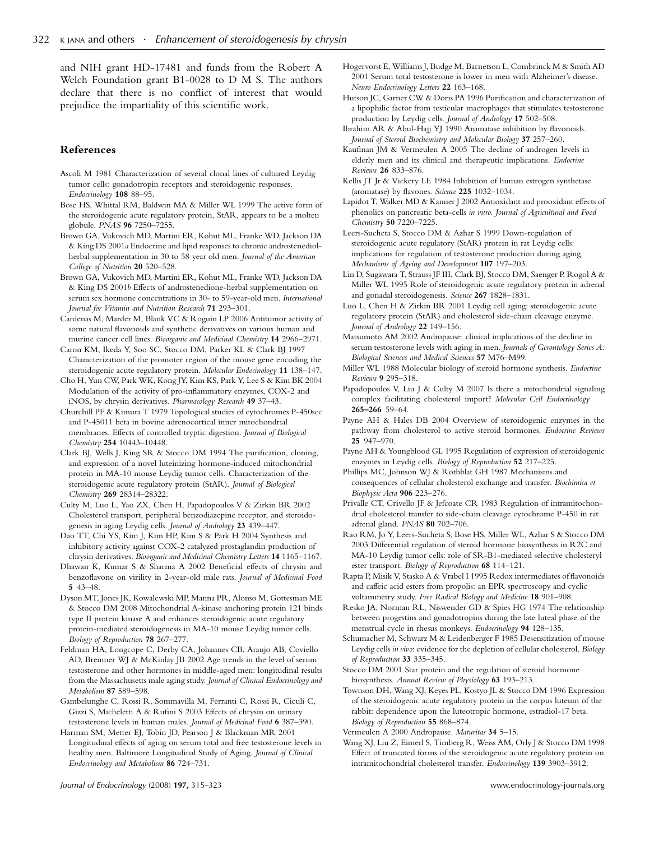<span id="page-7-0"></span>and NIH grant HD-17481 and funds from the Robert A Welch Foundation grant B1-0028 to D M S. The authors declare that there is no conflict of interest that would prejudice the impartiality of this scientific work.

# References

- Ascoli M 1981 Characterization of several clonal lines of cultured Leydig tumor cells: gonadotropin receptors and steroidogenic responses. Endocrinology 108 88–95.
- Bose HS, Whittal RM, Baldwin MA & Miller WL 1999 The active form of the steroidogenic acute regulatory protein, StAR, appears to be a molten globule. PNAS 96 7250–7255.
- Brown GA, Vukovich MD, Martini ER, Kohut ML, Franke WD, Jackson DA & King DS 2001a Endocrine and lipid responses to chronic androstenediolherbal supplementation in 30 to 58 year old men. Journal of the American College of Nutrition 20 520–528.
- Brown GA, Vukovich MD, Martini ER, Kohut ML, Franke WD, Jackson DA & King DS 2001b Effects of androstenedione-herbal supplementation on serum sex hormone concentrations in 30- to 59-year-old men. International Journal for Vitamin and Nutrition Research 71 293–301.
- Cardenas M, Marder M, Blank VC & Roguin LP 2006 Antitumor activity of some natural flavonoids and synthetic derivatives on various human and murine cancer cell lines. Bioorganic and Medicinal Chemistry 14 2966–2971.
- Caron KM, Ikeda Y, Soo SC, Stocco DM, Parker KL & Clark BJ 1997 Characterization of the promoter region of the mouse gene encoding the steroidogenic acute regulatory protein. Molecular Endocinology 11 138-147.
- Cho H, Yun CW, Park WK, Kong JY, Kim KS, Park Y, Lee S & Kim BK 2004 Modulation of the activity of pro-inflammatory enzymes, COX-2 and iNOS, by chrysin derivatives. Pharmacology Research 49 37–43.
- Churchill PF & Kimura T 1979 Topological studies of cytochromes P-450scc and P-45011 beta in bovine adrenocortical inner mitochondrial membranes. Effects of controlled tryptic digestion. Journal of Biological Chemistry 254 10443–10448.
- Clark BJ, Wells J, King SR & Stocco DM 1994 The purification, cloning, and expression of a novel luteinizing hormone-induced mitochondrial protein in MA-10 mouse Leydig tumor cells. Characterization of the steroidogenic acute regulatory protein (StAR). Journal of Biological Chemistry 269 28314–28322.
- Culty M, Luo L, Yao ZX, Chen H, Papadopoulos V & Zirkin BR 2002 Cholesterol transport, peripheral benzodiazepine receptor, and steroidogenesis in aging Leydig cells. Journal of Andrology 23 439–447.
- Dao TT, Chi YS, Kim J, Kim HP, Kim S & Park H 2004 Synthesis and inhibitory activity against COX-2 catalyzed prostaglandin production of chrysin derivatives. Bioorganic and Medicinal Chemistry Letters 14 1165–1167.
- Dhawan K, Kumar S & Sharma A 2002 Beneficial effects of chrysin and benzoflavone on virility in 2-year-old male rats. Journal of Medicinal Food 5 43–48.
- Dyson MT, Jones JK, Kowalewski MP, Manna PR, Alonso M, Gottesman ME & Stocco DM 2008 Mitochondrial A-kinase anchoring protein 121 binds type II protein kinase A and enhances steroidogenic acute regulatory protein-mediated steroidogenesis in MA-10 mouse Leydig tumor cells. Biology of Reproduction 78 267–277.
- Feldman HA, Longcope C, Derby CA, Johannes CB, Araujo AB, Coviello AD, Bremner WJ & McKinlay JB 2002 Age trends in the level of serum testosterone and other hormones in middle-aged men: longitudinal results from the Massachusetts male aging study. Journal of Clinical Endocrinology and Metabolism 87 589–598.
- Gambelunghe C, Rossi R, Sommavilla M, Ferranti C, Rossi R, Ciculi C, Gizzi S, Micheletti A & Rufini S 2003 Effects of chrysin on urinary testosterone levels in human males. Journal of Medicinal Food 6 387–390.
- Harman SM, Metter EJ, Tobin JD, Pearson J & Blackman MR 2001 Longitudinal effects of aging on serum total and free testosterone levels in healthy men. Baltimore Longitudinal Study of Aging. Journal of Clinical Endocrinology and Metabolism 86 724–731.
- Hogervorst E, Williams J, Budge M, Barnetson L, Combrinck M & Smith AD 2001 Serum total testosterone is lower in men with Alzheimer's disease. Neuro Endocrinology Letters 22 163–168.
- Hutson JC, Garner CW & Doris PA 1996 Purification and characterization of a lipophilic factor from testicular macrophages that stimulates testosterone production by Leydig cells. Journal of Andrology 17 502–508.
- Ibrahim AR & Abul-Hajj YJ 1990 Aromatase inhibition by flavonoids. Journal of Steroid Biochemistry and Molecular Biology 37 257-260.
- Kaufman JM & Vermeulen A 2005 The decline of androgen levels in elderly men and its clinical and therapeutic implications. Endocrine Reviews 26 833–876.
- Kellis JT Jr & Vickery LE 1984 Inhibition of human estrogen synthetase (aromatase) by flavones. Science 225 1032–1034.
- Lapidot T, Walker MD & Kanner J 2002 Antioxidant and prooxidant effects of phenolics on pancreatic beta-cells in vitro. Journal of Agricultural and Food Chemistry 50 7220-7225.
- Leers-Sucheta S, Stocco DM & Azhar S 1999 Down-regulation of steroidogenic acute regulatory (StAR) protein in rat Leydig cells: implications for regulation of testosterone production during aging. Mechanisms of Ageing and Development 107 197–203.
- Lin D, Sugawara T, Strauss JF III, Clark BJ, Stocco DM, Saenger P, Rogol A & Miller WL 1995 Role of steroidogenic acute regulatory protein in adrenal and gonadal steroidogenesis. Science 267 1828–1831.
- Luo L, Chen H & Zirkin BR 2001 Leydig cell aging: steroidogenic acute regulatory protein (StAR) and cholesterol side-chain cleavage enzyme. Journal of Andrology 22 149–156.
- Matsumoto AM 2002 Andropause: clinical implications of the decline in serum testosterone levels with aging in men. Journals of Gerontology Series A: Biological Sciences and Medical Sciences 57 M76–M99.
- Miller WL 1988 Molecular biology of steroid hormone synthesis. Endocrine Reviews 9 295–318.
- Papadopoulos V, Liu J & Culty M 2007 Is there a mitochondrial signaling complex facilitating cholesterol import? Molecular Cell Endocrinology 265–266 59–64.
- Payne AH & Hales DB 2004 Overview of steroidogenic enzymes in the pathway from cholesterol to active steroid hormones. Endocrine Reviews 25 947–970.
- Payne AH & Youngblood GL 1995 Regulation of expression of steroidogenic enzymes in Leydig cells. Biology of Reproduction 52 217–225.
- Phillips MC, Johnson WJ & Rothblat GH 1987 Mechanisms and consequences of cellular cholesterol exchange and transfer. Biochimica et Biophysic Acta 906 223-276.
- Privalle CT, Crivello JF & Jefcoate CR 1983 Regulation of intramitochondrial cholesterol transfer to side-chain cleavage cytochrome P-450 in rat adrenal gland. PNAS 80 702–706.
- Rao RM, Jo Y, Leers-Sucheta S, Bose HS, Miller WL, Azhar S & Stocco DM 2003 Differential regulation of steroid hormone biosynthesis in R2C and MA-10 Leydig tumor cells: role of SR-B1-mediated selective cholesteryl ester transport. Biology of Reproduction 68 114–121.
- Rapta P, Misik V, Stasko A & Vrabel I 1995 Redox intermediates of flavonoids and caffeic acid esters from propolis: an EPR spectroscopy and cyclic voltammetry study. Free Radical Biology and Medicine 18 901-908.
- Resko JA, Norman RL, Niswender GD & Spies HG 1974 The relationship between progestins and gonadotropins during the late luteal phase of the menstrual cycle in rhesus monkeys. Endocrinology 94 128–135.
- Schumacher M, Schwarz M & Leidenberger F 1985 Desensitization of mouse Leydig cells in vivo: evidence for the depletion of cellular cholesterol. Biology of Reproduction 33 335–345.
- Stocco DM 2001 Star protein and the regulation of steroid hormone biosynthesis. Annual Review of Physiology 63 193–213.
- Townson DH, Wang XJ, Keyes PL, Kostyo JL & Stocco DM 1996 Expression of the steroidogenic acute regulatory protein in the corpus luteum of the rabbit: dependence upon the luteotropic hormone, estradiol-17 beta. Biology of Reproduction 55 868–874.
- Vermeulen A 2000 Andropause. Maturitas 34 5–15.
- Wang XJ, Liu Z, Eimerl S, Timberg R, Weiss AM, Orly J & Stocco DM 1998 Effect of truncated forms of the steroidogenic acute regulatory protein on intramitochondrial cholesterol transfer. Endocrinology 139 3903–3912.